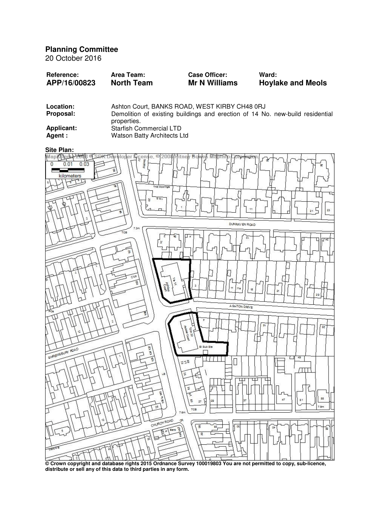**Planning Committee** 

20 October 2016

| <b>Reference:</b> | Area Team:        | <b>Case Officer:</b> | Ward:                    |
|-------------------|-------------------|----------------------|--------------------------|
| APP/16/00823      | <b>North Team</b> | <b>Mr N Williams</b> | <b>Hoylake and Meols</b> |
|                   |                   |                      |                          |

| Location:        | Ashton Court, BANKS ROAD, WEST KIRBY CH48 0RJ                                                |  |  |
|------------------|----------------------------------------------------------------------------------------------|--|--|
| <b>Proposal:</b> | Demolition of existing buildings and erection of 14 No. new-build residential<br>properties. |  |  |
| Applicant:       | <b>Starfish Commercial LTD</b>                                                               |  |  |
| Agent :          | Watson Batty Architects Ltd                                                                  |  |  |



**© Crown copyright and database rights 2015 Ordnance Survey 100019803 You are not permitted to copy, sub-licence, distribute or sell any of this data to third parties in any form.**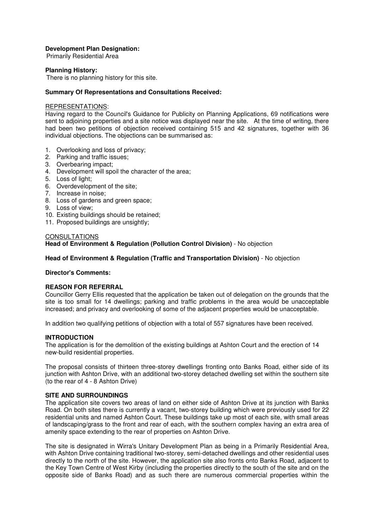## **Development Plan Designation:**

Primarily Residential Area

# **Planning History:**

There is no planning history for this site.

## **Summary Of Representations and Consultations Received:**

# REPRESENTATIONS:

Having regard to the Council's Guidance for Publicity on Planning Applications, 69 notifications were sent to adjoining properties and a site notice was displayed near the site. At the time of writing, there had been two petitions of objection received containing 515 and 42 signatures, together with 36 individual objections. The objections can be summarised as:

- 1. Overlooking and loss of privacy;
- 2. Parking and traffic issues;
- 3. Overbearing impact;
- 4. Development will spoil the character of the area;
- 5. Loss of light;
- 6. Overdevelopment of the site;
- 7. Increase in noise;
- 8. Loss of gardens and green space;
- 9. Loss of view;
- 10. Existing buildings should be retained;
- 11. Proposed buildings are unsightly:

#### **CONSULTATIONS**

**Head of Environment & Regulation (Pollution Control Division)** - No objection

# **Head of Environment & Regulation (Traffic and Transportation Division)** - No objection

#### **Director's Comments:**

# **REASON FOR REFERRAL**

Councillor Gerry Ellis requested that the application be taken out of delegation on the grounds that the site is too small for 14 dwellings; parking and traffic problems in the area would be unacceptable increased; and privacy and overlooking of some of the adjacent properties would be unacceptable.

In addition two qualifying petitions of objection with a total of 557 signatures have been received.

#### **INTRODUCTION**

The application is for the demolition of the existing buildings at Ashton Court and the erection of 14 new-build residential properties.

The proposal consists of thirteen three-storey dwellings fronting onto Banks Road, either side of its junction with Ashton Drive, with an additional two-storey detached dwelling set within the southern site (to the rear of 4 - 8 Ashton Drive)

## **SITE AND SURROUNDINGS**

The application site covers two areas of land on either side of Ashton Drive at its junction with Banks Road. On both sites there is currently a vacant, two-storey building which were previously used for 22 residential units and named Ashton Court. These buildings take up most of each site, with small areas of landscaping/grass to the front and rear of each, with the southern complex having an extra area of amenity space extending to the rear of properties on Ashton Drive.

The site is designated in Wirra's Unitary Development Plan as being in a Primarily Residential Area, with Ashton Drive containing traditional two-storey, semi-detached dwellings and other residential uses directly to the north of the site. However, the application site also fronts onto Banks Road, adjacent to the Key Town Centre of West Kirby (including the properties directly to the south of the site and on the opposite side of Banks Road) and as such there are numerous commercial properties within the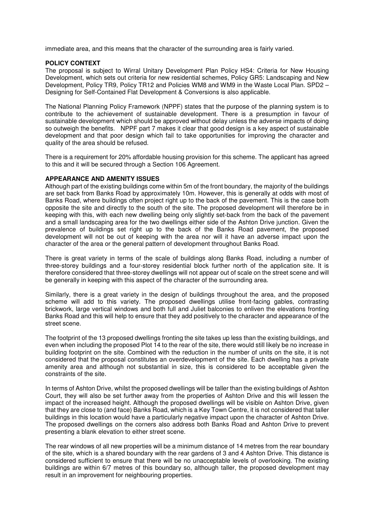immediate area, and this means that the character of the surrounding area is fairly varied.

#### **POLICY CONTEXT**

The proposal is subject to Wirral Unitary Development Plan Policy HS4: Criteria for New Housing Development, which sets out criteria for new residential schemes, Policy GR5: Landscaping and New Development, Policy TR9, Policy TR12 and Policies WM8 and WM9 in the Waste Local Plan. SPD2 – Designing for Self-Contained Flat Development & Conversions is also applicable.

The National Planning Policy Framework (NPPF) states that the purpose of the planning system is to contribute to the achievement of sustainable development. There is a presumption in favour of sustainable development which should be approved without delay unless the adverse impacts of doing so outweigh the benefits. NPPF part 7 makes it clear that good design is a key aspect of sustainable development and that poor design which fail to take opportunities for improving the character and quality of the area should be refused.

There is a requirement for 20% affordable housing provision for this scheme. The applicant has agreed to this and it will be secured through a Section 106 Agreement.

#### **APPEARANCE AND AMENITY ISSUES**

Although part of the existing buildings come within 5m of the front boundary, the majority of the buildings are set back from Banks Road by approximately 10m. However, this is generally at odds with most of Banks Road, where buildings often project right up to the back of the pavement. This is the case both opposite the site and directly to the south of the site. The proposed development will therefore be in keeping with this, with each new dwelling being only slightly set-back from the back of the pavement and a small landscaping area for the two dwellings either side of the Ashton Drive junction. Given the prevalence of buildings set right up to the back of the Banks Road pavement, the proposed development will not be out of keeping with the area nor will it have an adverse impact upon the character of the area or the general pattern of development throughout Banks Road.

There is great variety in terms of the scale of buildings along Banks Road, including a number of three-storey buildings and a four-storey residential block further north of the application site. It is therefore considered that three-storey dwellings will not appear out of scale on the street scene and will be generally in keeping with this aspect of the character of the surrounding area.

Similarly, there is a great variety in the design of buildings throughout the area, and the proposed scheme will add to this variety. The proposed dwellings utilise front-facing gables, contrasting brickwork, large vertical windows and both full and Juliet balconies to enliven the elevations fronting Banks Road and this will help to ensure that they add positively to the character and appearance of the street scene.

The footprint of the 13 proposed dwellings fronting the site takes up less than the existing buildings, and even when including the proposed Plot 14 to the rear of the site, there would still likely be no increase in building footprint on the site. Combined with the reduction in the number of units on the site, it is not considered that the proposal constitutes an overdevelopment of the site. Each dwelling has a private amenity area and although not substantial in size, this is considered to be acceptable given the constraints of the site.

In terms of Ashton Drive, whilst the proposed dwellings will be taller than the existing buildings of Ashton Court, they will also be set further away from the properties of Ashton Drive and this will lessen the impact of the increased height. Although the proposed dwellings will be visible on Ashton Drive, given that they are close to (and face) Banks Road, which is a Key Town Centre, it is not considered that taller buildings in this location would have a particularly negative impact upon the character of Ashton Drive. The proposed dwellings on the corners also address both Banks Road and Ashton Drive to prevent presenting a blank elevation to either street scene.

The rear windows of all new properties will be a minimum distance of 14 metres from the rear boundary of the site, which is a shared boundary with the rear gardens of 3 and 4 Ashton Drive. This distance is considered sufficient to ensure that there will be no unacceptable levels of overlooking. The existing buildings are within 6/7 metres of this boundary so, although taller, the proposed development may result in an improvement for neighbouring properties.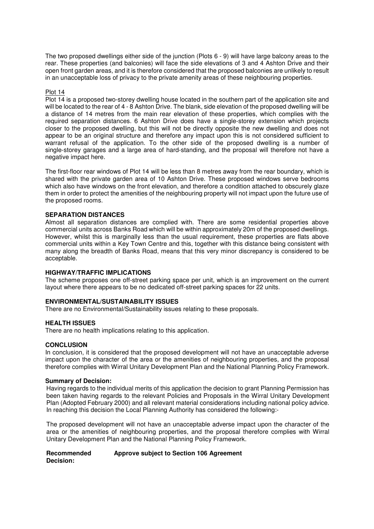The two proposed dwellings either side of the junction (Plots 6 - 9) will have large balcony areas to the rear. These properties (and balconies) will face the side elevations of 3 and 4 Ashton Drive and their open front garden areas, and it is therefore considered that the proposed balconies are unlikely to result in an unacceptable loss of privacy to the private amenity areas of these neighbouring properties.

# Plot 14

Plot 14 is a proposed two-storey dwelling house located in the southern part of the application site and will be located to the rear of 4 - 8 Ashton Drive. The blank, side elevation of the proposed dwelling will be a distance of 14 metres from the main rear elevation of these properties, which complies with the required separation distances. 6 Ashton Drive does have a single-storey extension which projects closer to the proposed dwelling, but this will not be directly opposite the new dwelling and does not appear to be an original structure and therefore any impact upon this is not considered sufficient to warrant refusal of the application. To the other side of the proposed dwelling is a number of single-storey garages and a large area of hard-standing, and the proposal will therefore not have a negative impact here.

The first-floor rear windows of Plot 14 will be less than 8 metres away from the rear boundary, which is shared with the private garden area of 10 Ashton Drive. These proposed windows serve bedrooms which also have windows on the front elevation, and therefore a condition attached to obscurely glaze them in order to protect the amenities of the neighbouring property will not impact upon the future use of the proposed rooms.

#### **SEPARATION DISTANCES**

Almost all separation distances are complied with. There are some residential properties above commercial units across Banks Road which will be within approximately 20m of the proposed dwellings. However, whilst this is marginally less than the usual requirement, these properties are flats above commercial units within a Key Town Centre and this, together with this distance being consistent with many along the breadth of Banks Road, means that this very minor discrepancy is considered to be acceptable.

## **HIGHWAY/TRAFFIC IMPLICATIONS**

The scheme proposes one off-street parking space per unit, which is an improvement on the current layout where there appears to be no dedicated off-street parking spaces for 22 units.

#### **ENVIRONMENTAL/SUSTAINABILITY ISSUES**

There are no Environmental/Sustainability issues relating to these proposals.

#### **HEALTH ISSUES**

There are no health implications relating to this application.

#### **CONCLUSION**

In conclusion, it is considered that the proposed development will not have an unacceptable adverse impact upon the character of the area or the amenities of neighbouring properties, and the proposal therefore complies with Wirral Unitary Development Plan and the National Planning Policy Framework.

#### **Summary of Decision:**

Having regards to the individual merits of this application the decision to grant Planning Permission has been taken having regards to the relevant Policies and Proposals in the Wirral Unitary Development Plan (Adopted February 2000) and all relevant material considerations including national policy advice. In reaching this decision the Local Planning Authority has considered the following:-

The proposed development will not have an unacceptable adverse impact upon the character of the area or the amenities of neighbouring properties, and the proposal therefore complies with Wirral Unitary Development Plan and the National Planning Policy Framework.

**Recommended Decision: Approve subject to Section 106 Agreement**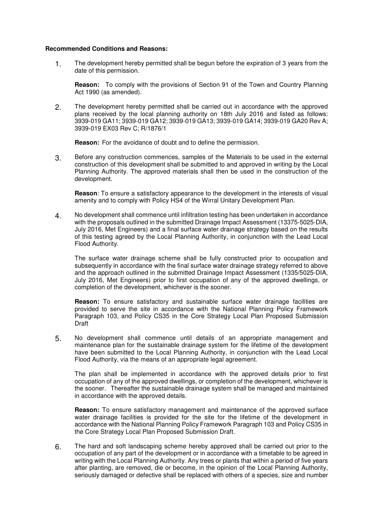## **Recommended Conditions and Reasons:**

1. The development hereby permitted shall be begun before the expiration of 3 years from the date of this permission.

**Reason:** To comply with the provisions of Section 91 of the Town and Country Planning Act 1990 (as amended).

2. The development hereby permitted shall be carried out in accordance with the approved plans received by the local planning authority on 18th July 2016 and listed as follows: 3939-019 GA11; 3939-019 GA12; 3939-019 GA13; 3939-019 GA14; 3939-019 GA20 Rev A; 3939-019 EX03 Rev C; R/1876/1

**Reason:** For the avoidance of doubt and to define the permission.

3. Before any construction commences, samples of the Materials to be used in the external construction of this development shall be submitted to and approved in writing by the Local Planning Authority. The approved materials shall then be used in the construction of the development.

**Reason**: To ensure a satisfactory appearance to the development in the interests of visual amenity and to comply with Policy HS4 of the Wirral Unitary Development Plan.

4. No development shall commence until infiltration testing has been undertaken in accordance with the proposals outlined in the submitted Drainage Impact Assessment (13375-5025-DIA, July 2016, Met Engineers) and a final surface water drainage strategy based on the results of this testing agreed by the Local Planning Authority, in conjunction with the Lead Local Flood Authority.

The surface water drainage scheme shall be fully constructed prior to occupation and subsequently in accordance with the final surface water drainage strategy referred to above and the approach outlined in the submitted Drainage Impact Assessment (1335/5025-DIA, July 2016, Met Engineers) prior to first occupation of any of the approved dwellings, or completion of the development, whichever is the sooner.

**Reason:** To ensure satisfactory and sustainable surface water drainage facilities are provided to serve the site in accordance with the National Planning Policy Framework Paragraph 103, and Policy CS35 in the Core Strategy Local Plan Proposed Submission Draft<sup>1</sup>

5. No development shall commence until details of an appropriate management and maintenance plan for the sustainable drainage system for the lifetime of the development have been submitted to the Local Planning Authority, in conjunction with the Lead Local Flood Authority, via the means of an appropriate legal agreement.

The plan shall be implemented in accordance with the approved details prior to first occupation of any of the approved dwellings, or completion of the development, whichever is the sooner. Thereafter the sustainable drainage system shall be managed and maintained in accordance with the approved details.

**Reason:** To ensure satisfactory management and maintenance of the approved surface water drainage facilities is provided for the site for the lifetime of the development in accordance with the National Planning Policy Framework Paragraph 103 and Policy CS35 in the Core Strategy Local Plan Proposed Submission Draft.

6. The hard and soft landscaping scheme hereby approved shall be carried out prior to the occupation of any part of the development or in accordance with a timetable to be agreed in writing with the Local Planning Authority. Any trees or plants that within a period of five years after planting, are removed, die or become, in the opinion of the Local Planning Authority, seriously damaged or defective shall be replaced with others of a species, size and number